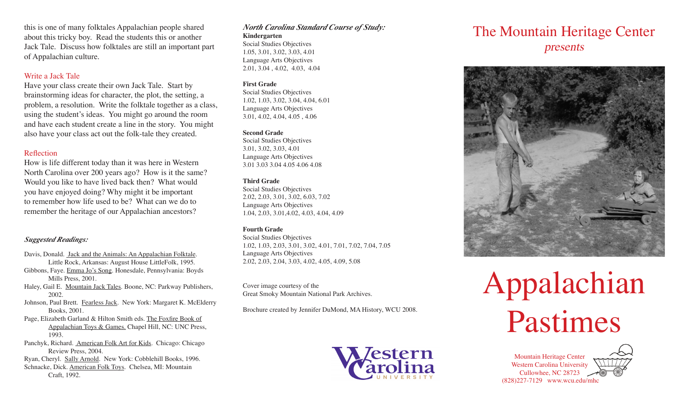this is one of many folktales Appalachian people shared about this tricky boy. Read the students this or another Jack Tale. Discuss how folktales are still an important part of Appalachian culture.

#### Write a Jack Tale

Have your class create their own Jack Tale. Start by brainstorming ideas for character, the plot, the setting, a problem, a resolution. Write the folktale together as a class, using the student's ideas. You might go around the room and have each student create a line in the story. You might also have your class act out the folk-tale they created.

#### Reflection

How is life different today than it was here in Western North Carolina over 200 years ago? How is it the same? Would you like to have lived back then? What would you have enjoyed doing? Why might it be important to remember how life used to be? What can we do to remember the heritage of our Appalachian ancestors?

## *Suggested Readings:*

- Davis, Donald. Jack and the Animals: An Appalachian Folktale. Little Rock, Arkansas: August House LittleFolk, 1995.
- Gibbons, Faye. Emma Jo's Song. Honesdale, Pennsylvania: Boyds Mills Press, 2001.
- Haley, Gail E. Mountain Jack Tales. Boone, NC: Parkway Publishers, 2002.
- Johnson, Paul Brett. Fearless Jack. New York: Margaret K. McElderry Books, 2001.
- Page, Elizabeth Garland & Hilton Smith eds. The Foxfire Book of Appalachian Toys & Games. Chapel Hill, NC: UNC Press, 1993.
- Panchyk, Richard. American Folk Art for Kids. Chicago: Chicago Review Press, 2004.
- Ryan, Cheryl. Sally Arnold. New York: Cobblehill Books, 1996. Schnacke, Dick. American Folk Toys. Chelsea, MI: Mountain

Craft, 1992.

#### *North Carolina Standard Course of Study:* **Kindergarten**

Social Studies Objectives 1.05, 3.01, 3.02, 3.03, 4.01 Language Arts Objectives 2.01, 3.04 , 4.02, 4.03, 4.04

## **First Grade**

Social Studies Objectives 1.02, 1.03, 3.02, 3.04, 4.04, 6.01 Language Arts Objectives 3.01, 4.02, 4.04, 4.05 , 4.06

#### **Second Grade**

Social Studies Objectives 3.01, 3.02, 3.03, 4.01 Language Arts Objectives 3.01 3.03 3.04 4.05 4.06 4.08

#### **Third Grade**

Social Studies Objectives 2.02, 2.03, 3.01, 3.02, 6.03, 7.02 Language Arts Objectives 1.04, 2.03, 3.01,4.02, 4.03, 4.04, 4.09

## **Fourth Grade**

Social Studies Objectives 1.02, 1.03, 2.03, 3.01, 3.02, 4.01, 7.01, 7.02, 7.04, 7.05 Language Arts Objectives 2.02, 2.03, 2.04, 3.03, 4.02, 4.05, 4.09, 5.08

Cover image courtesy of the Great Smoky Mountain National Park Archives.

Brochure created by Jennifer DuMond, MA History, WCU 2008.



## The Mountain Heritage Center presents



# Appalachian Pastimes

Mountain Heritage Center Western Carolina University Cullowhee, NC 28723 (828)227-7129 www.wcu.edu/mhc